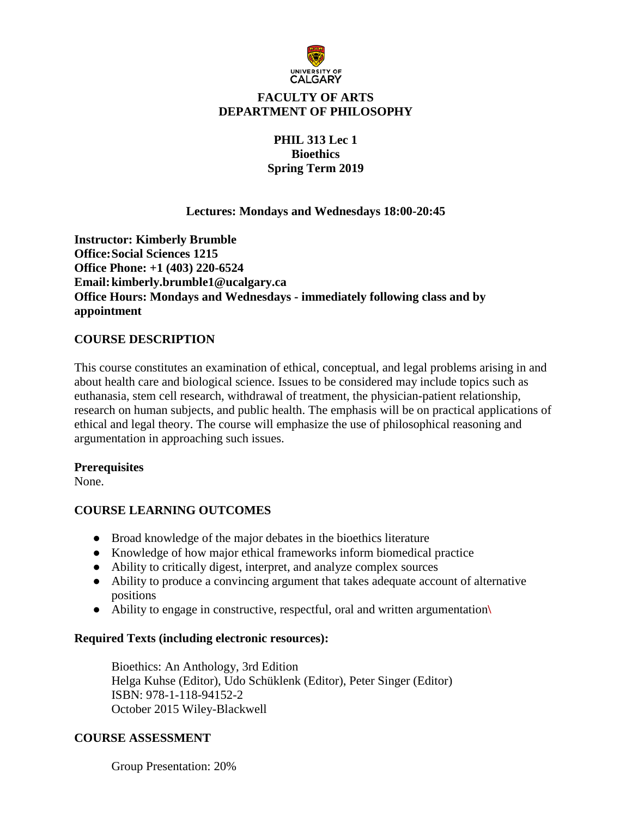

# **FACULTY OF ARTS DEPARTMENT OF PHILOSOPHY**

## **PHIL 313 Lec 1 Bioethics Spring Term 2019**

### **Lectures: Mondays and Wednesdays 18:00-20:45**

**Instructor: Kimberly Brumble Office:Social Sciences 1215 Office Phone: +1 (403) 220-6524 Email:kimberly.brumble1@ucalgary.ca Office Hours: Mondays and Wednesdays - immediately following class and by appointment** 

### **COURSE DESCRIPTION**

This course constitutes an examination of ethical, conceptual, and legal problems arising in and about health care and biological science. Issues to be considered may include topics such as euthanasia, stem cell research, withdrawal of treatment, the physician-patient relationship, research on human subjects, and public health. The emphasis will be on practical applications of ethical and legal theory. The course will emphasize the use of philosophical reasoning and argumentation in approaching such issues.

#### **Prerequisites**

None.

## **COURSE LEARNING OUTCOMES**

- Broad knowledge of the major debates in the bioethics literature
- Knowledge of how major ethical frameworks inform biomedical practice
- Ability to critically digest, interpret, and analyze complex sources
- Ability to produce a convincing argument that takes adequate account of alternative positions
- Ability to engage in constructive, respectful, oral and written argumentation**\**

#### **Required Texts (including electronic resources):**

Bioethics: An Anthology, 3rd Edition Helga Kuhse (Editor), Udo Schüklenk (Editor), Peter Singer (Editor) ISBN: 978-1-118-94152-2 October 2015 Wiley-Blackwell

## **COURSE ASSESSMENT**

Group Presentation: 20%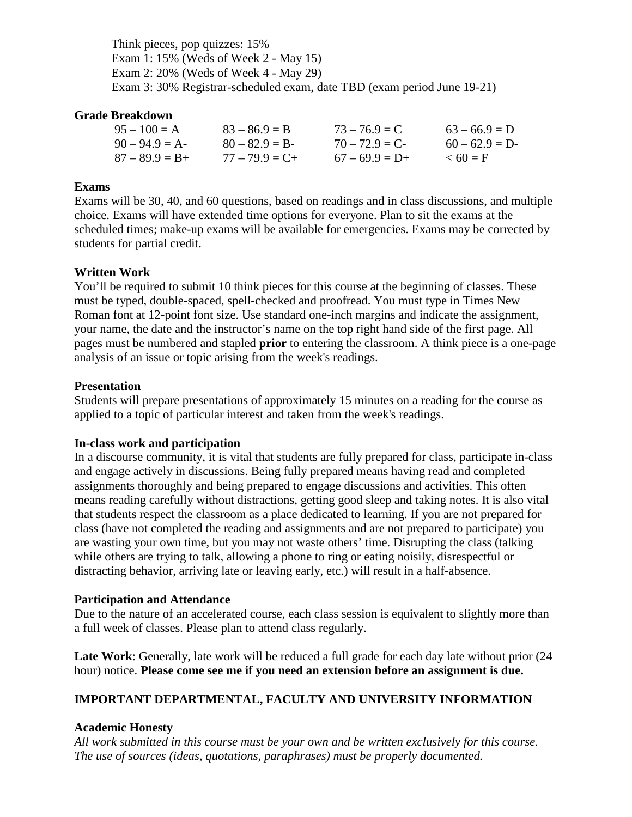Think pieces, pop quizzes: 15% Exam 1: 15% (Weds of Week 2 - May 15) Exam 2: 20% (Weds of Week 4 - May 29) Exam 3: 30% Registrar-scheduled exam, date TBD (exam period June 19-21)

#### **Grade Breakdown**

| $95 - 100 = A$    | $83 - 86.9 = B$   | $73 - 76.9 = C$  | $63 - 66.9 = D$ |
|-------------------|-------------------|------------------|-----------------|
| $90 - 94.9 = A$   | $80 - 82.9 = B$   | $70 - 72.9 = C$  | $60 - 62.9 = D$ |
| $87 - 89.9 = B +$ | $77 - 79.9 = C +$ | $67 - 69.9 = D+$ | $\leq 60 = F$   |

### **Exams**

Exams will be 30, 40, and 60 questions, based on readings and in class discussions, and multiple choice. Exams will have extended time options for everyone. Plan to sit the exams at the scheduled times; make-up exams will be available for emergencies. Exams may be corrected by students for partial credit.

#### **Written Work**

You'll be required to submit 10 think pieces for this course at the beginning of classes. These must be typed, double-spaced, spell-checked and proofread. You must type in Times New Roman font at 12-point font size. Use standard one-inch margins and indicate the assignment, your name, the date and the instructor's name on the top right hand side of the first page. All pages must be numbered and stapled **prior** to entering the classroom. A think piece is a one-page analysis of an issue or topic arising from the week's readings.

### **Presentation**

Students will prepare presentations of approximately 15 minutes on a reading for the course as applied to a topic of particular interest and taken from the week's readings.

#### **In-class work and participation**

In a discourse community, it is vital that students are fully prepared for class, participate in-class and engage actively in discussions. Being fully prepared means having read and completed assignments thoroughly and being prepared to engage discussions and activities. This often means reading carefully without distractions, getting good sleep and taking notes. It is also vital that students respect the classroom as a place dedicated to learning. If you are not prepared for class (have not completed the reading and assignments and are not prepared to participate) you are wasting your own time, but you may not waste others' time. Disrupting the class (talking while others are trying to talk, allowing a phone to ring or eating noisily, disrespectful or distracting behavior, arriving late or leaving early, etc.) will result in a half-absence.

#### **Participation and Attendance**

Due to the nature of an accelerated course, each class session is equivalent to slightly more than a full week of classes. Please plan to attend class regularly.

**Late Work**: Generally, late work will be reduced a full grade for each day late without prior (24 hour) notice. **Please come see me if you need an extension before an assignment is due.**

## **IMPORTANT DEPARTMENTAL, FACULTY AND UNIVERSITY INFORMATION**

#### **Academic Honesty**

*All work submitted in this course must be your own and be written exclusively for this course. The use of sources (ideas, quotations, paraphrases) must be properly documented.*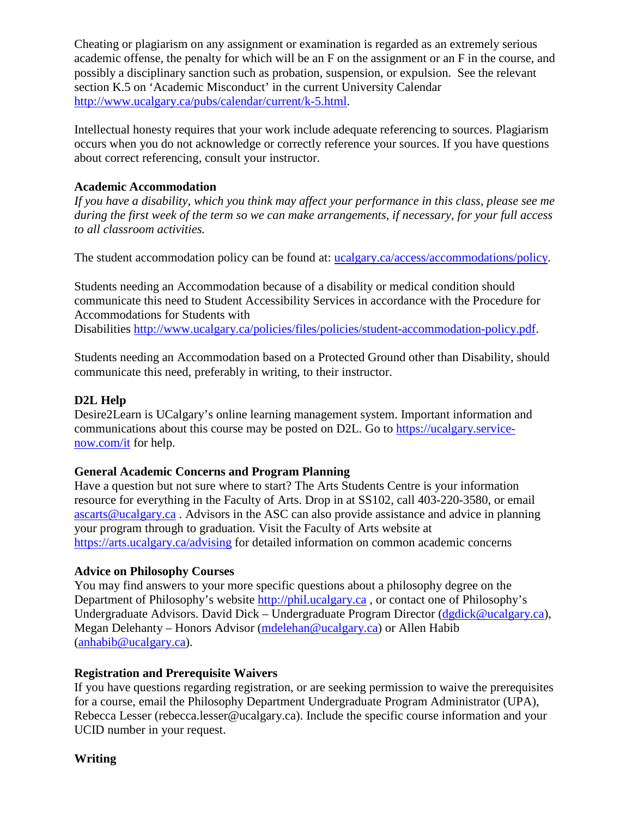Cheating or plagiarism on any assignment or examination is regarded as an extremely serious academic offense, the penalty for which will be an F on the assignment or an F in the course, and possibly a disciplinary sanction such as probation, suspension, or expulsion. See the relevant section K.5 on 'Academic Misconduct' in the current University Calendar [http://www.ucalgary.ca/pubs/calendar/current/k-5.html.](http://www.ucalgary.ca/pubs/calendar/current/k-5.html)

Intellectual honesty requires that your work include adequate referencing to sources. Plagiarism occurs when you do not acknowledge or correctly reference your sources. If you have questions about correct referencing, consult your instructor.

## **Academic Accommodation**

*If you have a disability, which you think may affect your performance in this class, please see me during the first week of the term so we can make arrangements, if necessary, for your full access to all classroom activities.*

The student accommodation policy can be found at: [ucalgary.ca/access/accommodations/policy.](http://www.ucalgary.ca/access/accommodations/policy)

Students needing an Accommodation because of a disability or medical condition should communicate this need to Student Accessibility Services in accordance with the Procedure for Accommodations for Students with

Disabilities [http://www.ucalgary.ca/policies/files/policies/student-accommodation-policy.pdf.](http://www.ucalgary.ca/policies/files/policies/student-accommodation-policy.pdf)

Students needing an Accommodation based on a Protected Ground other than Disability, should communicate this need, preferably in writing, to their instructor.

## **D2L Help**

Desire2Learn is UCalgary's online learning management system. Important information and communications about this course may be posted on D2L. Go to [https://ucalgary.service](https://ucalgary.service-now.com/it)[now.com/it](https://ucalgary.service-now.com/it) for help.

## **General Academic Concerns and Program Planning**

Have a question but not sure where to start? The Arts Students Centre is your information resource for everything in the Faculty of Arts. Drop in at SS102, call 403-220-3580, or email [ascarts@ucalgary.ca](mailto:ascarts@ucalgary.ca) . Advisors in the ASC can also provide assistance and advice in planning your program through to graduation. Visit the Faculty of Arts website at <https://arts.ucalgary.ca/advising> for detailed information on common academic concerns

## **Advice on Philosophy Courses**

You may find answers to your more specific questions about a philosophy degree on the Department of Philosophy's website [http://phil.ucalgary.ca](http://phil.ucalgary.ca/) , or contact one of Philosophy's Undergraduate Advisors. David Dick – Undergraduate Program Director [\(dgdick@ucalgary.ca\)](mailto:dgdick@ucalgary.ca), Megan Delehanty – Honors Advisor [\(mdelehan@ucalgary.ca\)](mailto:mdelehan@ucalgary.ca) or Allen Habib [\(anhabib@ucalgary.ca\)](mailto:anhabib@ucalgary.ca).

## **Registration and Prerequisite Waivers**

If you have questions regarding registration, or are seeking permission to waive the prerequisites for a course, email the Philosophy Department Undergraduate Program Administrator (UPA), Rebecca Lesser (rebecca.lesser@ucalgary.ca). Include the specific course information and your UCID number in your request.

**Writing**